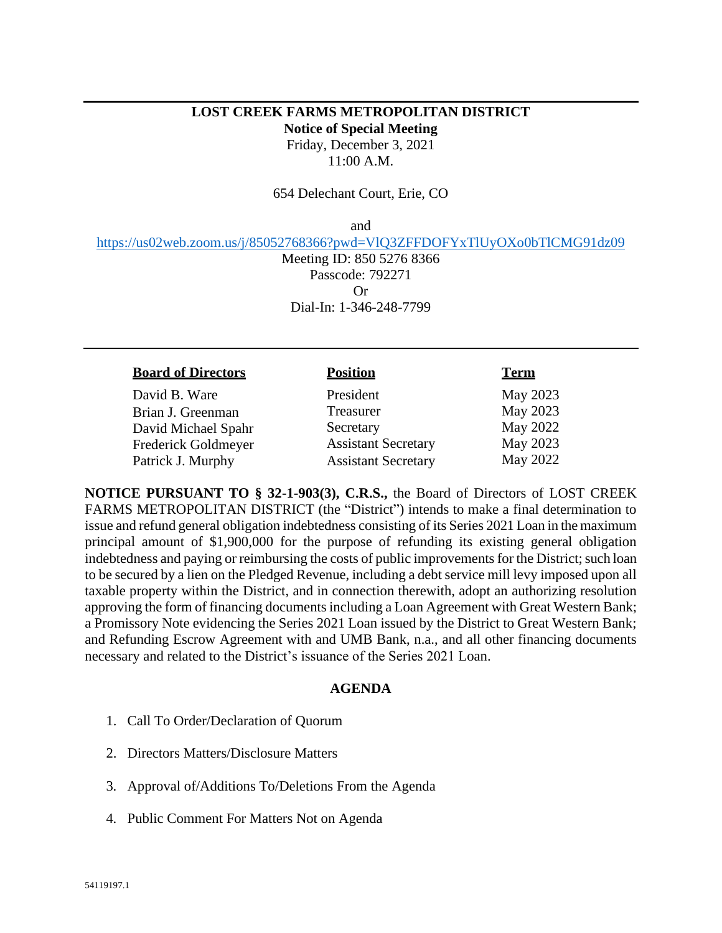## **LOST CREEK FARMS METROPOLITAN DISTRICT Notice of Special Meeting** Friday, December 3, 2021 11:00 A.M.

654 Delechant Court, Erie, CO

and

<https://us02web.zoom.us/j/85052768366?pwd=VlQ3ZFFDOFYxTlUyOXo0bTlCMG91dz09>

Meeting ID: 850 5276 8366 Passcode: 792271 Or Dial-In: 1-346-248-7799

## **Board of Directors Position Term**

David B. Ware President May 2023 Brian J. Greenman Treasurer May 2023<br>
David Michael Spahr Secretary May 2022 David Michael Spahr Secretary Frederick Goldmeyer Assistant Secretary May 2023 Patrick J. Murphy **Assistant Secretary** May 2022

**NOTICE PURSUANT TO § 32-1-903(3), C.R.S.,** the Board of Directors of LOST CREEK FARMS METROPOLITAN DISTRICT (the "District") intends to make a final determination to issue and refund general obligation indebtedness consisting of its Series 2021 Loan in the maximum principal amount of \$1,900,000 for the purpose of refunding its existing general obligation indebtedness and paying or reimbursing the costs of public improvements for the District; such loan to be secured by a lien on the Pledged Revenue, including a debt service mill levy imposed upon all taxable property within the District, and in connection therewith, adopt an authorizing resolution approving the form of financing documents including a Loan Agreement with Great Western Bank; a Promissory Note evidencing the Series 2021 Loan issued by the District to Great Western Bank; and Refunding Escrow Agreement with and UMB Bank, n.a., and all other financing documents necessary and related to the District's issuance of the Series 2021 Loan.

## **AGENDA**

- 1. Call To Order/Declaration of Quorum
- 2. Directors Matters/Disclosure Matters
- 3. Approval of/Additions To/Deletions From the Agenda
- 4. Public Comment For Matters Not on Agenda